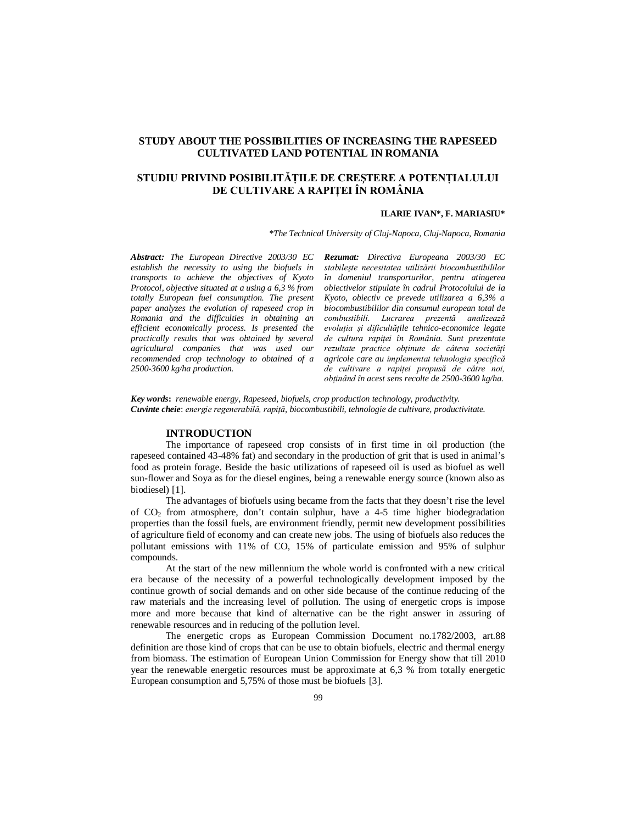## **STUDY ABOUT THE POSSIBILITIES OF INCREASING THE RAPESEED CULTIVATED LAND POTENTIAL IN ROMANIA**

# **STUDIU PRIVIND POSIBILITĂŢILE DE CREŞTERE A POTENŢIALULUI DE CULTIVARE A RAPIŢEI ÎN ROMÂNIA**

#### **ILARIE IVAN\*, F. MARIASIU\***

*\*The Technical University of Cluj-Napoca, Cluj-Napoca, Romania*

*Abstract: The European Directive 2003/30 EC establish the necessity to using the biofuels in transports to achieve the objectives of Kyoto Protocol, objective situated at a using a 6,3 % from totally European fuel consumption. The present paper analyzes the evolution of rapeseed crop in Romania and the difficulties in obtaining an efficient economically process. Is presented the practically results that was obtained by several agricultural companies that was used our recommended crop technology to obtained of a 2500-3600 kg/ha production.*

*Rezumat: Directiva Europeana 2003/30 EC stabileşte necesitatea utilizării biocombustibililor în domeniul transporturilor, pentru atingerea obiectivelor stipulate în cadrul Protocolului de la Kyoto, obiectiv ce prevede utilizarea a 6,3% a biocombustibililor din consumul european total de combustibili. Lucrarea prezentă analizează evoluţia şi dificultăţile tehnico-economice legate de cultura rapiţei în România. Sunt prezentate rezultate practice obţinute de câteva societăţi agricole care au implementat tehnologia specifică de cultivare a rapiţei propusă de către noi, obţinând în acest sens recolte de 2500-3600 kg/ha.*

*Key words***:** *renewable energy, Rapeseed, biofuels, crop production technology, productivity. Cuvinte cheie*: *energie regenerabilă, rapiţă, biocombustibili, tehnologie de cultivare, productivitate.*

#### **INTRODUCTION**

The importance of rapeseed crop consists of in first time in oil production (the rapeseed contained 43-48% fat) and secondary in the production of grit that is used in animal's food as protein forage. Beside the basic utilizations of rapeseed oil is used as biofuel as well sun-flower and Soya as for the diesel engines, being a renewable energy source (known also as biodiesel) [1].

The advantages of biofuels using became from the facts that they doesn't rise the level of  $CO<sub>2</sub>$  from atmosphere, don't contain sulphur, have a 4-5 time higher biodegradation properties than the fossil fuels, are environment friendly, permit new development possibilities of agriculture field of economy and can create new jobs. The using of biofuels also reduces the pollutant emissions with 11% of CO, 15% of particulate emission and 95% of sulphur compounds.

At the start of the new millennium the whole world is confronted with a new critical era because of the necessity of a powerful technologically development imposed by the continue growth of social demands and on other side because of the continue reducing of the raw materials and the increasing level of pollution. The using of energetic crops is impose more and more because that kind of alternative can be the right answer in assuring of renewable resources and in reducing of the pollution level.

The energetic crops as European Commission Document no.1782/2003, art.88 definition are those kind of crops that can be use to obtain biofuels, electric and thermal energy from biomass. The estimation of European Union Commission for Energy show that till 2010 year the renewable energetic resources must be approximate at 6,3 % from totally energetic European consumption and 5,75% of those must be biofuels [3].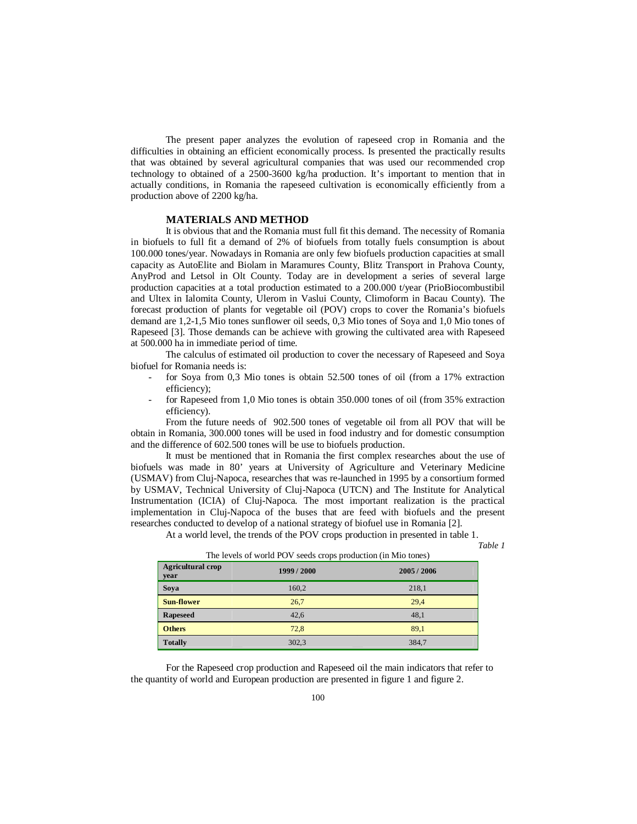The present paper analyzes the evolution of rapeseed crop in Romania and the difficulties in obtaining an efficient economically process. Is presented the practically results that was obtained by several agricultural companies that was used our recommended crop technology to obtained of a 2500-3600 kg/ha production. It's important to mention that in actually conditions, in Romania the rapeseed cultivation is economically efficiently from a production above of 2200 kg/ha.

#### **MATERIALS AND METHOD**

It is obvious that and the Romania must full fit this demand. The necessity of Romania in biofuels to full fit a demand of 2% of biofuels from totally fuels consumption is about 100.000 tones/year. Nowadays in Romania are only few biofuels production capacities at small capacity as AutoElite and Biolam in Maramures County, Blitz Transport in Prahova County, AnyProd and Letsol in Olt County. Today are in development a series of several large production capacities at a total production estimated to a 200.000 t/year (PrioBiocombustibil and Ultex in Ialomita County, Ulerom in Vaslui County, Climoform in Bacau County). The forecast production of plants for vegetable oil (POV) crops to cover the Romania's biofuels demand are 1,2-1,5 Mio tones sunflower oil seeds, 0,3 Mio tones of Soya and 1,0 Mio tones of Rapeseed [3]. Those demands can be achieve with growing the cultivated area with Rapeseed at 500.000 ha in immediate period of time.

The calculus of estimated oil production to cover the necessary of Rapeseed and Soya biofuel for Romania needs is:

- for Soya from 0,3 Mio tones is obtain 52.500 tones of oil (from a 17% extraction efficiency);
- for Rapeseed from 1,0 Mio tones is obtain 350.000 tones of oil (from 35% extraction efficiency).

From the future needs of 902.500 tones of vegetable oil from all POV that will be obtain in Romania, 300.000 tones will be used in food industry and for domestic consumption and the difference of 602.500 tones will be use to biofuels production.

It must be mentioned that in Romania the first complex researches about the use of biofuels was made in 80' years at University of Agriculture and Veterinary Medicine (USMAV) from Cluj-Napoca, researches that was re-launched in 1995 by a consortium formed by USMAV, Technical University of Cluj-Napoca (UTCN) and The Institute for Analytical Instrumentation (ICIA) of Cluj-Napoca. The most important realization is the practical implementation in Cluj-Napoca of the buses that are feed with biofuels and the present researches conducted to develop of a national strategy of biofuel use in Romania [2].

At a world level, the trends of the POV crops production in presented in table 1.

*Table 1*

| The levels of world FOV seeds crops production (in into tones) |           |           |  |  |  |
|----------------------------------------------------------------|-----------|-----------|--|--|--|
| <b>Agricultural crop</b><br>year                               | 1999/2000 | 2005/2006 |  |  |  |
| Soya                                                           | 160,2     | 218,1     |  |  |  |
| <b>Sun-flower</b>                                              | 26,7      | 29.4      |  |  |  |
| <b>Rapeseed</b>                                                | 42,6      | 48.1      |  |  |  |
| <b>Others</b>                                                  | 72,8      | 89.1      |  |  |  |
| <b>Totally</b>                                                 | 302,3     | 384,7     |  |  |  |

The levels of world POV seeds crops production (in Mio tones)

For the Rapeseed crop production and Rapeseed oil the main indicators that refer to the quantity of world and European production are presented in figure 1 and figure 2.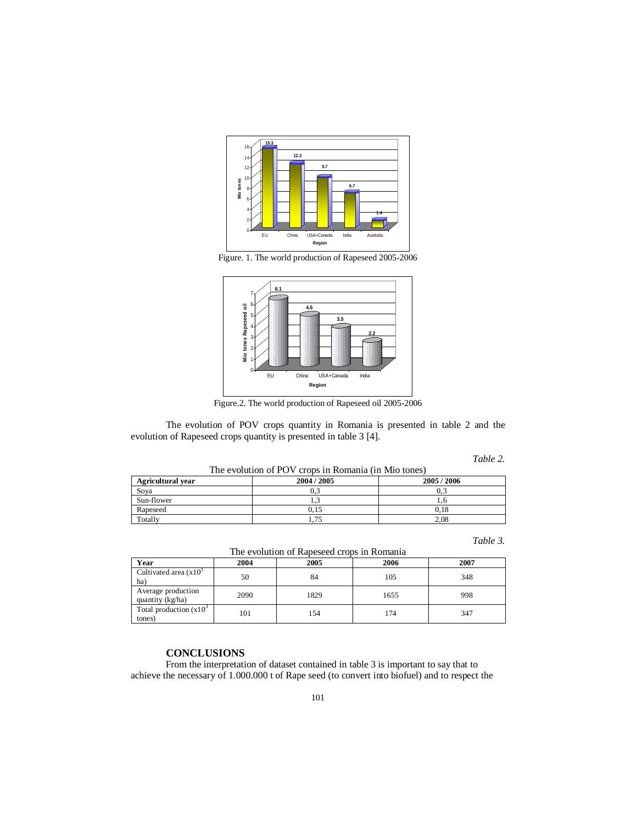

Figure. 1. The world production of Rapeseed 2005-2006



Figure.2. The world production of Rapeseed oil 2005-2006

The evolution of POV crops quantity in Romania is presented in table 2 and the evolution of Rapeseed crops quantity is presented in table 3 [4].

*Table 2.*

The evolution of POV crops in Romania (in Mio tones)

| --- - - - - - - - - - - - |           |           |  |  |  |
|---------------------------|-----------|-----------|--|--|--|
| <b>Agricultural vear</b>  | 2004/2005 | 2005/2006 |  |  |  |
| Soya                      |           | 0.3       |  |  |  |
| Sun-flower                | .         | 1.0       |  |  |  |
| Rapeseed                  | 0.15      | 0.18      |  |  |  |
| Totally                   | 75        | 2,08      |  |  |  |

*Table 3.*

| The evolution of Rapeseed crops in Romania |      |      |      |      |  |  |
|--------------------------------------------|------|------|------|------|--|--|
| Year                                       | 2004 | 2005 | 2006 | 2007 |  |  |
| Cultivated area $(x10^3)$<br>ha)           | 50   | 84   | 105  | 348  |  |  |
| Average production<br>quantity (kg/ha)     | 2090 | 1829 | 1655 | 998  |  |  |
| Total production $(x10^3)$<br>tones)       | 101  | 154  | 174  | 347  |  |  |

## **CONCLUSIONS**

From the interpretation of dataset contained in table 3 is important to say that to achieve the necessary of 1.000.000 t of Rape seed (to convert into biofuel) and to respect the